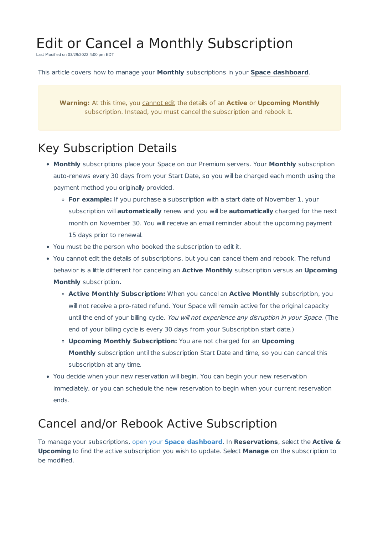# Edit or Cancel a Monthly Subscription

Last Modified on 03/29/2022 4:00 pm EDT

#### This article covers how to manage your **Monthly** subscriptions in your **Space dashboard**.

**Warning:** At this time, you cannot edit the details of an **Active** or **Upcoming Monthly** subscription. Instead, you must cancel the subscription and rebook it.

### Key Subscription Details

- **Monthly** subscriptions place your Space on our Premium servers. Your **Monthly** subscription auto-renews every 30 days from your Start Date, so you will be charged each month using the payment method you originally provided.
	- **For example:** If you purchase a subscription with a start date of November 1, your subscription will **automatically** renew and you will be **automatically** charged for the next month on November 30. You will receive an email reminder about the upcoming payment 15 days prior to renewal.
- You must be the person who booked the subscription to edit it.
- You cannot edit the details of subscriptions, but you can cancel them and rebook. The refund behavior is a little different for canceling an **Active Monthly** subscription versus an **Upcoming Monthly** subscription**.**
	- **Active Monthly Subscription:** When you cancel an **Active Monthly** subscription, you will not receive a pro-rated refund. Your Space will remain active for the original capacity until the end of your billing cycle. You will not experience any disruption in your Space. (The end of your billing cycle is every 30 days from your Subscription start date.)
	- **Upcoming Monthly Subscription:** You are not charged for an **Upcoming Monthly** subscription until the subscription Start Date and time, so you can cancel this subscription at any time.
- You decide when your new reservation will begin. You can begin your new reservation immediately, or you can schedule the new reservation to begin when your current reservation ends.

#### Cancel and/or Rebook Active Subscription

To manage your subscriptions, open your **Space dashboard**. In **Reservations**, select the **Active & Upcoming** to find the active subscription you wish to update. Select **Manage** on the subscription to be modified.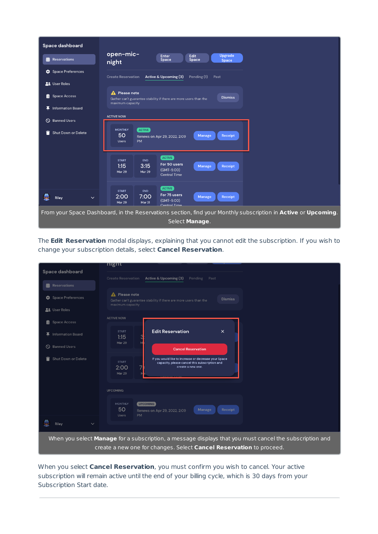

The **Edit Reservation** modal displays, explaining that you cannot edit the subscription. If you wish to change your subscription details, select **Cancel Reservation**.

|                                                                                                         | nıgnτ                                                                                                                                                               |
|---------------------------------------------------------------------------------------------------------|---------------------------------------------------------------------------------------------------------------------------------------------------------------------|
| Space dashboard                                                                                         | Active & Upcoming (3)<br><b>Create Reservation</b><br>Pending<br>Past                                                                                               |
| <b>前</b> Reservations                                                                                   |                                                                                                                                                                     |
| Space Preferences                                                                                       | A Please note<br><b>Dismiss</b><br>Gather can't guarantee stability if there are more users than the<br>maximum capacity                                            |
| <b>AL</b> User Roles                                                                                    |                                                                                                                                                                     |
| <b>Space Access</b><br>眉                                                                                | <b>ACTIVE NOW</b>                                                                                                                                                   |
| 平 Information Board                                                                                     | <b>Edit Reservation</b><br>$\times$<br><b>START</b><br>1:15                                                                                                         |
| <b>Banned Users</b><br>$\circ$                                                                          | <b>Mar 29</b><br><b>Cancel Reservation</b>                                                                                                                          |
| Shut Down or Delete                                                                                     | If you would like to increase or decrease your Space<br><b>START</b><br>capacity, please cancel this subscription and<br>create a new one.<br>2:00<br><b>Mar 29</b> |
|                                                                                                         | <b>UPCOMING</b>                                                                                                                                                     |
|                                                                                                         | <b>MONTHLY</b><br><b>UPCOMING</b><br>50<br>Manage<br>Receipt<br>Renews on Apr 29, 2022, 2:09<br><b>PM</b><br><b>Users</b>                                           |
| Riley<br>$\checkmark$                                                                                   |                                                                                                                                                                     |
| When you select Manage for a subscription, a message displays that you must cancel the subscription and |                                                                                                                                                                     |
|                                                                                                         | create a new one for changes. Select Cancel Reservation to proceed.                                                                                                 |

When you select **Cancel Reservation**, you must confirm you wish to cancel. Your active subscription will remain active until the end of your billing cycle, which is 30 days from your Subscription Start date.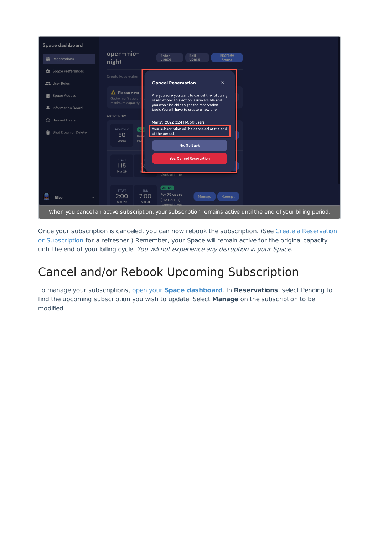

Once your subscription is canceled, you can now rebook the subscription. (See Create a Reservation or Subscription for a refresher.) Remember, your Space will remain active for the original capacity until the end of your billing cycle. You will not experience any disruption in your Space.

## Cancel and/or Rebook Upcoming Subscription

To manage your subscriptions, open your **Space dashboard**. In **Reservations**, select Pending to find the upcoming subscription you wish to update. Select **Manage** on the subscription to be modified.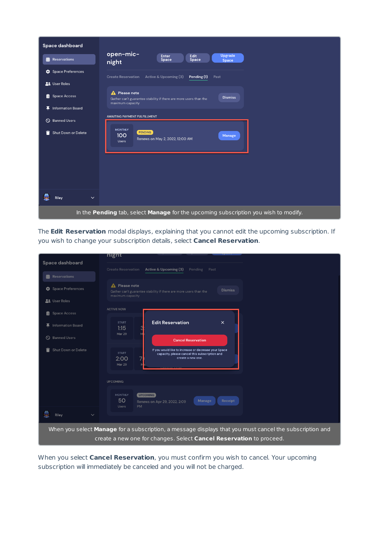

The **Edit Reservation** modal displays, explaining that you cannot edit the upcoming subscription. If you wish to change your subscription details, select **Cancel Reservation**.

| Space dashboard                                                                                                                                                                | night                                                                                                                                                               |
|--------------------------------------------------------------------------------------------------------------------------------------------------------------------------------|---------------------------------------------------------------------------------------------------------------------------------------------------------------------|
|                                                                                                                                                                                | Active & Upcoming (3)<br><b>Create Reservation</b><br>Pending<br>Past                                                                                               |
| <b>前</b> Reservations                                                                                                                                                          |                                                                                                                                                                     |
| Space Preferences                                                                                                                                                              | <b>A</b> Please note<br><b>Dismiss</b><br>Gather can't guarantee stability if there are more users than the<br>maximum capacity                                     |
| <b>At</b> User Roles                                                                                                                                                           |                                                                                                                                                                     |
| <b>Space Access</b><br>眉                                                                                                                                                       | <b>ACTIVE NOW</b>                                                                                                                                                   |
| <b>Information Board</b>                                                                                                                                                       | <b>Edit Reservation</b><br>$\times$<br><b>START</b><br>1:15<br><b>Mar 29</b>                                                                                        |
| S Banned Users                                                                                                                                                                 | <b>Cancel Reservation</b>                                                                                                                                           |
| Shut Down or Delete<br>û                                                                                                                                                       | If you would like to increase or decrease your Space<br><b>START</b><br>capacity, please cancel this subscription and<br>create a new one.<br>2:00<br><b>Mar 29</b> |
|                                                                                                                                                                                | <b>UPCOMING</b>                                                                                                                                                     |
|                                                                                                                                                                                | <b>MONTHLY</b><br><b>UPCOMING</b><br>50<br>Manage<br>Receipt<br>Renews on Apr 29, 2022, 2:09<br><b>PM</b><br><b>Users</b>                                           |
| Riley<br>$\checkmark$                                                                                                                                                          |                                                                                                                                                                     |
| When you select Manage for a subscription, a message displays that you must cancel the subscription and<br>create a new one for changes. Select Cancel Reservation to proceed. |                                                                                                                                                                     |

When you select **Cancel Reservation**, you must confirm you wish to cancel. Your upcoming subscription will immediately be canceled and you will not be charged.